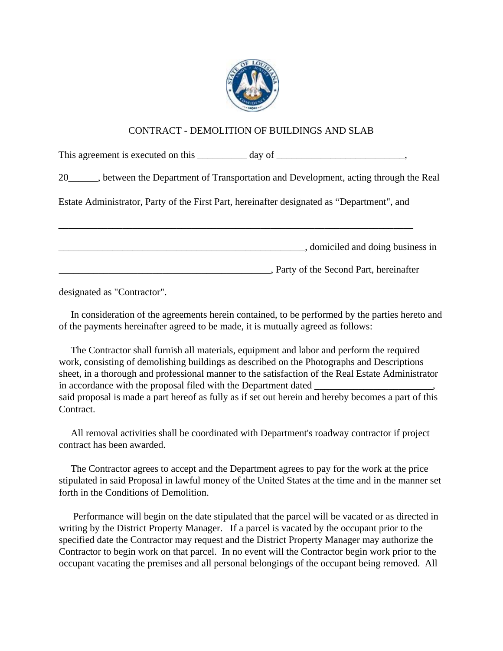

## CONTRACT - DEMOLITION OF BUILDINGS AND SLAB

This agreement is executed on this \_\_\_\_\_\_\_\_\_ day of \_\_\_\_\_\_\_\_\_\_\_\_\_\_\_\_\_\_\_\_\_,

20\_\_\_\_\_\_, between the Department of Transportation and Development, acting through the Real

Estate Administrator, Party of the First Part, hereinafter designated as "Department", and

\_\_\_\_\_\_\_\_\_\_\_\_\_\_\_\_\_\_\_\_\_\_\_\_\_\_\_\_\_\_\_\_\_\_\_\_\_\_\_\_\_\_\_\_\_\_\_\_\_\_\_\_\_\_\_\_\_\_\_\_\_\_\_\_\_\_\_\_\_\_\_\_

\_\_\_\_\_\_\_\_\_\_\_\_\_\_\_\_\_\_\_\_\_\_\_\_\_\_\_\_\_\_\_\_\_\_\_\_\_\_\_\_\_\_\_\_\_\_\_\_\_\_, domiciled and doing business in

\_\_\_\_\_\_\_\_\_\_\_\_\_\_\_\_\_\_\_\_\_\_\_\_\_\_\_\_\_\_\_\_\_\_\_\_\_\_\_\_\_\_\_, Party of the Second Part, hereinafter

designated as "Contractor".

 In consideration of the agreements herein contained, to be performed by the parties hereto and of the payments hereinafter agreed to be made, it is mutually agreed as follows:

 The Contractor shall furnish all materials, equipment and labor and perform the required work, consisting of demolishing buildings as described on the Photographs and Descriptions sheet, in a thorough and professional manner to the satisfaction of the Real Estate Administrator in accordance with the proposal filed with the Department dated \_\_\_\_\_\_\_\_\_\_\_\_\_\_\_\_\_ said proposal is made a part hereof as fully as if set out herein and hereby becomes a part of this Contract.

 All removal activities shall be coordinated with Department's roadway contractor if project contract has been awarded.

 The Contractor agrees to accept and the Department agrees to pay for the work at the price stipulated in said Proposal in lawful money of the United States at the time and in the manner set forth in the Conditions of Demolition.

 Performance will begin on the date stipulated that the parcel will be vacated or as directed in writing by the District Property Manager. If a parcel is vacated by the occupant prior to the specified date the Contractor may request and the District Property Manager may authorize the Contractor to begin work on that parcel. In no event will the Contractor begin work prior to the occupant vacating the premises and all personal belongings of the occupant being removed. All